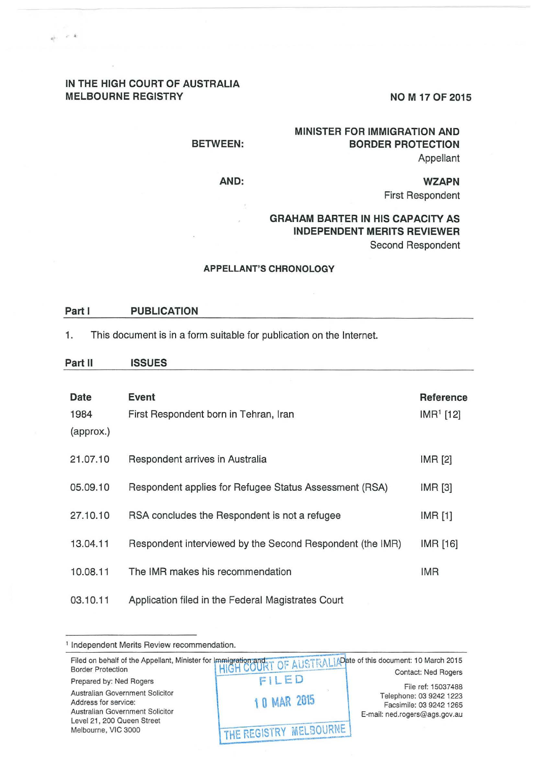# **IN THE HIGH COURT OF AUSTRALIA**  MELBOURNE REGISTRY NOM 17 OF 2015

. ., . .

## **BETWEEN:**

**AND:** 

# **MINISTER FOR IMMIGRATION AND BORDER PROTECTION**  Appellant

**WZAPN**  First Respondent

# **GRAHAM BARTER IN HIS CAPACITY AS INDEPENDENT MERITS REVIEWER**  Second Respondent

### **APPELLANT'S CHRONOLOGY**

#### **Part I PUBLICATION**

1. This document is in a form suitable for publication on the Internet.

#### **Part II ISSUES**

| Date<br>1984<br>(approx.) | Event<br>First Respondent born in Tehran, Iran            | Reference<br>$IMR1$ [12] |
|---------------------------|-----------------------------------------------------------|--------------------------|
| 21.07.10                  | Respondent arrives in Australia                           | <b>IMR [2]</b>           |
| 05.09.10                  | Respondent applies for Refugee Status Assessment (RSA)    | IMR [3]                  |
| 27.10.10                  | RSA concludes the Respondent is not a refugee             | IMR [1]                  |
| 13.04.11                  | Respondent interviewed by the Second Respondent (the IMR) | IMR [16]                 |
| 10.08.11                  | The IMR makes his recommendation                          | <b>IMR</b>               |
| 03.10.11                  | Application filed in the Federal Magistrates Court        |                          |

<sup>1</sup> Independent Merits Review recommendation.